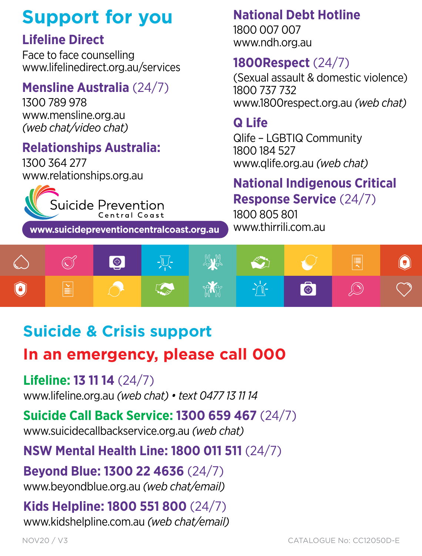## **Support for you** *Bulk licences are available for businesses and organisations across the region. Contact us today at lifespan@mphn.org.au*

## **Lifeline Direct** *QPR for individuals living in the Murrumbidgee region is free.*

Face to face counselling www.lifelinedirect.org.au/services **face counselling<br>
<b>1800Respect** (24/7)

## **Mensline Australia** (24/7)

1300 789 978 www.mensline.org.au *(web chat/video chat)* 

## **Relationships Australia:** The mill provide you will be a set of the set of the set of the set of the set of the set of the set of the set of the set of the set of the set of the set of the set of the set of the set of the

1300 364 277 www.relationships.org.au



**www.suicidepreventioncentralcoast.org.au**

#### **National Debt Hotline**

1800 007 007 www.ndh.org.au

lifelinedirect.org.au/services<br>
Sexual assault & domestic violence) 1800 737 732 www.1800respect.org.au *(web chat)*

## **Q Life**

es endy nace endy<br>
• knowledge and skills to identify warming signs someone may be suited and suicide may be suited and suited a 1800 184 527 www.qlife.org.au *(web chat)*

#### **Mational Indigenous Critical Mational Indigenous Critical C**<br>Suicide Prevention **Response Service** (24/7)

1800 805 801 www.thirrili.com.au



## **Suicide & Crisis support**

# In an emergency, please call 000

#### **Lifeline: 13 11 14** (24/7)

www.lifeline.org.au *(web chat) • text 0477 13 11 14* 

## **Suicide Call Back Service: 1300 659 467** (24/7)

out state our measure of these to to to the many  $(2\pi i, 1)$  is the many suicide callbackservice.org.au *(web chat)*  $\overline{\phantom{a}}$ 

## **NSW Mental Health Line: 1800 011 511** (24/7)

**Beyond Blue: 1300 22 4636** (24/7) www.beyondblue.org.au (web chat/email)

#### **Kids Helpline: 1800 551 800** (24/7) *QPR for individuals living in the Murrumbidgee region is free.*

www.kidshelpline.com.au *(web chat/email) Bulk licences are available for businesses and organisations*